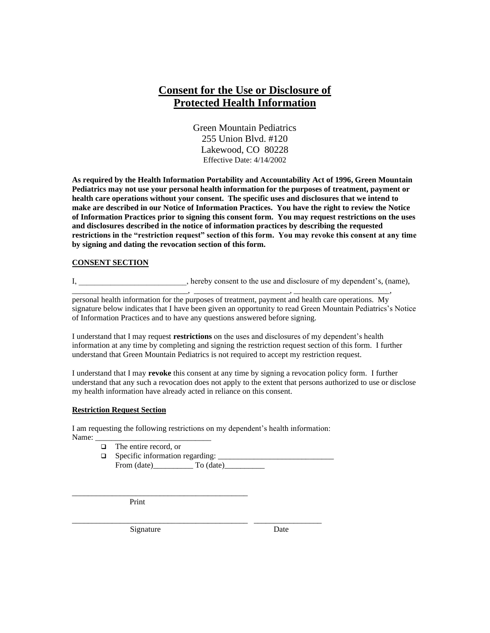# **Consent for the Use or Disclosure of Protected Health Information**

Green Mountain Pediatrics 255 Union Blvd. #120 Lakewood, CO 80228 Effective Date: 4/14/2002

**As required by the Health Information Portability and Accountability Act of 1996, Green Mountain Pediatrics may not use your personal health information for the purposes of treatment, payment or health care operations without your consent. The specific uses and disclosures that we intend to make are described in our Notice of Information Practices. You have the right to review the Notice of Information Practices prior to signing this consent form. You may request restrictions on the uses and disclosures described in the notice of information practices by describing the requested restrictions in the "restriction request" section of this form. You may revoke this consent at any time by signing and dating the revocation section of this form.**

#### **CONSENT SECTION**

I, hereby consent to the use and disclosure of my dependent's, (name),

\_\_\_\_\_\_\_\_\_\_\_\_\_\_\_\_\_\_\_\_\_\_\_\_\_\_\_\_\_, \_\_\_\_\_\_\_\_\_\_\_\_\_\_\_\_\_\_\_\_\_\_\_\_, \_\_\_\_\_\_\_\_\_\_\_\_\_\_\_\_\_\_\_\_\_\_\_\_, personal health information for the purposes of treatment, payment and health care operations. My signature below indicates that I have been given an opportunity to read Green Mountain Pediatrics's Notice of Information Practices and to have any questions answered before signing.

I understand that I may request **restrictions** on the uses and disclosures of my dependent's health information at any time by completing and signing the restriction request section of this form. I further understand that Green Mountain Pediatrics is not required to accept my restriction request.

I understand that I may **revoke** this consent at any time by signing a revocation policy form. I further understand that any such a revocation does not apply to the extent that persons authorized to use or disclose my health information have already acted in reliance on this consent.

#### **Restriction Request Section**

I am requesting the following restrictions on my dependent's health information: Name:

❑ The entire record, or

 $\Box$  Specific information regarding:  $\Box$ From (date)\_\_\_\_\_\_\_\_\_\_ To (date)\_\_\_\_\_\_\_\_\_\_

\_\_\_\_\_\_\_\_\_\_\_\_\_\_\_\_\_\_\_\_\_\_\_\_\_\_\_\_\_\_\_\_\_\_\_\_\_\_\_\_\_\_\_\_ Print

\_\_\_\_\_\_\_\_\_\_\_\_\_\_\_\_\_\_\_\_\_\_\_\_\_\_\_\_\_\_\_\_\_\_\_\_\_\_\_\_\_\_\_\_ \_\_\_\_\_\_\_\_\_\_\_\_\_\_\_\_\_ Signature Date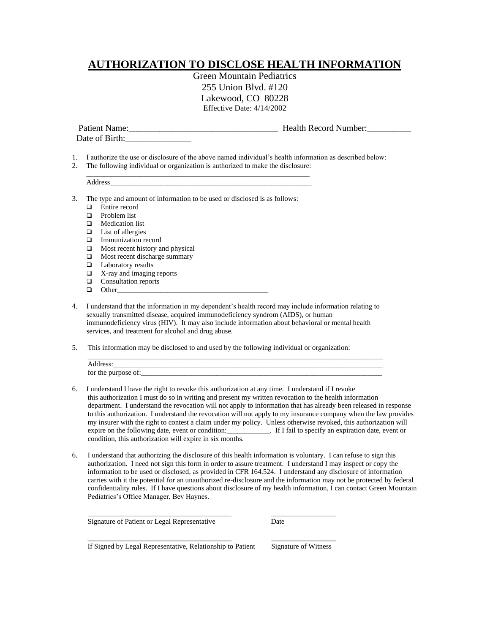## **AUTHORIZATION TO DISCLOSE HEALTH INFORMATION**

Green Mountain Pediatrics 255 Union Blvd. #120 Lakewood, CO 80228 Effective Date: 4/14/2002

| Patient Name:  | <b>Health Record Number:</b> |
|----------------|------------------------------|
| Date of Birth: |                              |
|                |                              |

- 1. I authorize the use or disclosure of the above named individual's health information as described below:
- 2. The following individual or organization is authorized to make the disclosure:

|   | Address                                                                   |
|---|---------------------------------------------------------------------------|
|   | The type and amount of information to be used or disclosed is as follows: |
|   | Entire record                                                             |
|   | Problem list                                                              |
|   | Medication list                                                           |
|   | List of allergies                                                         |
|   | Immunization record                                                       |
| ⊔ | Most recent history and physical                                          |
| ⊔ | Most recent discharge summary                                             |
| ⊔ | Laboratory results                                                        |
|   | X-ray and imaging reports                                                 |

- ❑ Consultation reports
- ❑ Other\_\_\_\_\_\_\_\_\_\_\_\_\_\_\_\_\_\_\_\_\_\_\_\_\_\_\_\_\_\_\_\_\_\_\_\_\_\_\_\_\_\_
- 4. I understand that the information in my dependent's health record may include information relating to sexually transmitted disease, acquired immunodeficiency syndrom (AIDS), or human immunodeficiency virus (HIV). It may also include information about behavioral or mental health services, and treatment for alcohol and drug abuse.
- 5. This information may be disclosed to and used by the following individual or organization:

\_\_\_\_\_\_\_\_\_\_\_\_\_\_\_\_\_\_\_\_\_\_\_\_\_\_\_\_\_\_\_\_\_\_\_\_\_\_\_\_ \_\_\_\_\_\_\_\_\_\_\_\_\_\_\_\_\_\_

\_\_\_\_\_\_\_\_\_\_\_\_\_\_\_\_\_\_\_\_\_\_\_\_\_\_\_\_\_\_\_\_\_\_\_\_\_\_\_\_ \_\_\_\_\_\_\_\_\_\_\_\_\_\_\_\_\_\_

| Address:            |  |
|---------------------|--|
| for the purpose of: |  |

- 6. I understand I have the right to revoke this authorization at any time. I understand if I revoke this authorization I must do so in writing and present my written revocation to the health information department. I understand the revocation will not apply to information that has already been released in response to this authorization. I understand the revocation will not apply to my insurance company when the law provides my insurer with the right to contest a claim under my policy. Unless otherwise revoked, this authorization will expire on the following date, event or condition:\_\_\_\_\_\_\_\_\_\_\_\_. If I fail to specify an expiration date, event or condition, this authorization will expire in six months.
- 6. I understand that authorizing the disclosure of this health information is voluntary. I can refuse to sign this authorization. I need not sign this form in order to assure treatment. I understand I may inspect or copy the information to be used or disclosed, as provided in CFR 164.524. I understand any disclosure of information carries with it the potential for an unauthorized re-disclosure and the information may not be protected by federal confidentiality rules. If I have questions about disclosure of my health information, I can contact Green Mountain Pediatrics's Office Manager, Bev Haynes.

Signature of Patient or Legal Representative Date

If Signed by Legal Representative, Relationship to Patient Signature of Witness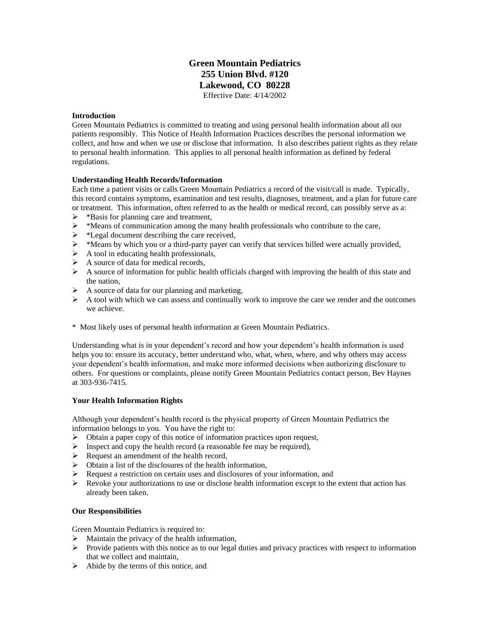### **Green Mountain Pediatrics 255 Union Blvd. #120 Lakewood, CO 80228** Effective Date: 4/14/2002

#### **Introduction**

Green Mountain Pediatrics is committed to treating and using personal health information about all our patients responsibly. This Notice of Health Information Practices describes the personal information we collect, and how and when we use or disclose that information. It also describes patient rights as they relate to personal health information. This applies to all personal health information as defined by federal regulations.

#### **Understanding Health Records/Information**

Each time a patient visits or calls Green Mountain Pediatrics a record of the visit/call is made. Typically, this record contains symptoms, examination and test results, diagnoses, treatment, and a plan for future care or treatment. This information, often referred to as the health or medical record, can possibly serve as a:

- ➢ \*Basis for planning care and treatment,
- $\triangleright$  \*Means of communication among the many health professionals who contribute to the care,
- ➢ \*Legal document describing the care received,
- $\triangleright$  \*Means by which you or a third-party payer can verify that services billed were actually provided,
- $\triangleright$  A tool in educating health professionals,
- $\triangleright$  A source of data for medical records,
- $\triangleright$  A source of information for public health officials charged with improving the health of this state and the nation,
- ➢ A source of data for our planning and marketing,
- $\triangleright$  A tool with which we can assess and continually work to improve the care we render and the outcomes we achieve.
- \* Most likely uses of personal health information at Green Mountain Pediatrics.

Understanding what is in your dependent's record and how your dependent's health information is used helps you to: ensure its accuracy, better understand who, what, when, where, and why others may access your dependent's health information, and make more informed decisions when authorizing disclosure to others. For questions or complaints, please notify Green Mountain Pediatrics contact person, Bev Haynes at 303-936-7415.

#### **Your Health Information Rights**

Although your dependent's health record is the physical property of Green Mountain Pediatrics the information belongs to you. You have the right to:

- ➢ Obtain a paper copy of this notice of information practices upon request,
- ➢ Inspect and copy the health record (a reasonable fee may be required),
- ➢ Request an amendment of the health record,
- ➢ Obtain a list of the disclosures of the health information,
- ➢ Request a restriction on certain uses and disclosures of your information, and
- $\triangleright$  Revoke your authorizations to use or disclose health information except to the extent that action has already been taken.

#### **Our Responsibilities**

Green Mountain Pediatrics is required to:

- $\triangleright$  Maintain the privacy of the health information,
- ➢ Provide patients with this notice as to our legal duties and privacy practices with respect to information that we collect and maintain,
- $\triangleright$  Abide by the terms of this notice, and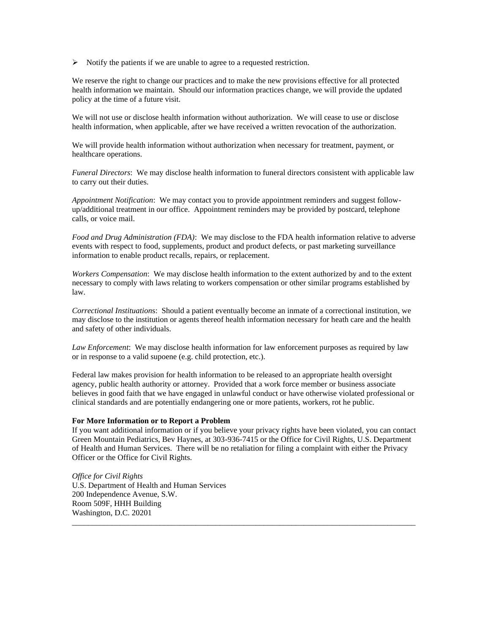➢ Notify the patients if we are unable to agree to a requested restriction.

We reserve the right to change our practices and to make the new provisions effective for all protected health information we maintain. Should our information practices change, we will provide the updated policy at the time of a future visit.

We will not use or disclose health information without authorization. We will cease to use or disclose health information, when applicable, after we have received a written revocation of the authorization.

We will provide health information without authorization when necessary for treatment, payment, or healthcare operations.

*Funeral Directors*: We may disclose health information to funeral directors consistent with applicable law to carry out their duties.

*Appointment Notification*: We may contact you to provide appointment reminders and suggest followup/additional treatment in our office. Appointment reminders may be provided by postcard, telephone calls, or voice mail.

*Food and Drug Administration (FDA)*: We may disclose to the FDA health information relative to adverse events with respect to food, supplements, product and product defects, or past marketing surveillance information to enable product recalls, repairs, or replacement.

*Workers Compensation*: We may disclose health information to the extent authorized by and to the extent necessary to comply with laws relating to workers compensation or other similar programs established by law.

*Correctional Instituation*s: Should a patient eventually become an inmate of a correctional institution, we may disclose to the institution or agents thereof health information necessary for heath care and the health and safety of other individuals.

*Law Enforcement*: We may disclose health information for law enforcement purposes as required by law or in response to a valid supoene (e.g. child protection, etc.).

Federal law makes provision for health information to be released to an appropriate health oversight agency, public health authority or attorney. Provided that a work force member or business associate believes in good faith that we have engaged in unlawful conduct or have otherwise violated professional or clinical standards and are potentially endangering one or more patients, workers, rot he public.

#### **For More Information or to Report a Problem**

If you want additional information or if you believe your privacy rights have been violated, you can contact Green Mountain Pediatrics, Bev Haynes, at 303-936-7415 or the Office for Civil Rights, U.S. Department of Health and Human Services. There will be no retaliation for filing a complaint with either the Privacy Officer or the Office for Civil Rights.

\_\_\_\_\_\_\_\_\_\_\_\_\_\_\_\_\_\_\_\_\_\_\_\_\_\_\_\_\_\_\_\_\_\_\_\_\_\_\_\_\_\_\_\_\_\_\_\_\_\_\_\_\_\_\_\_\_\_\_\_\_\_\_\_\_\_\_\_\_\_\_\_\_\_\_\_\_\_\_\_\_\_\_\_\_\_

*Office for Civil Rights* U.S. Department of Health and Human Services 200 Independence Avenue, S.W. Room 509F, HHH Building Washington, D.C. 20201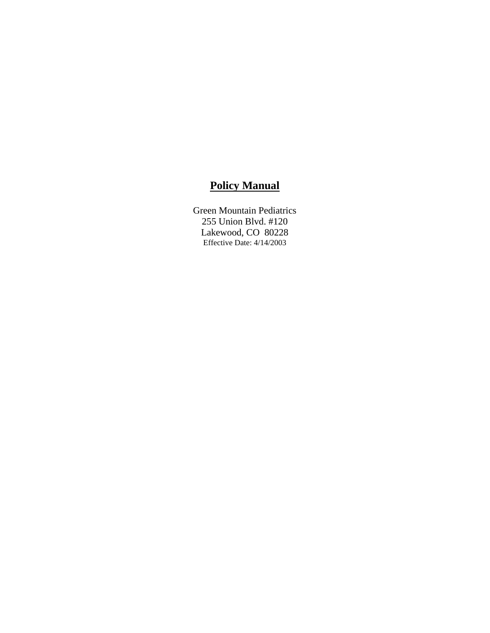# **Policy Manual**

Green Mountain Pediatrics 255 Union Blvd. #120 Lakewood, CO 80228 Effective Date: 4/14/2003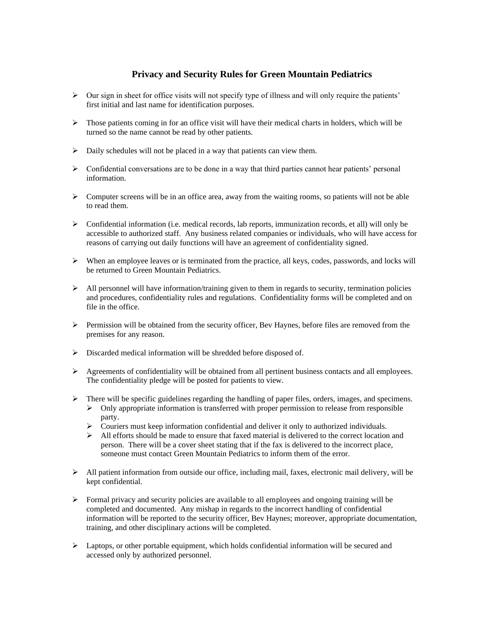## **Privacy and Security Rules for Green Mountain Pediatrics**

- $\triangleright$  Our sign in sheet for office visits will not specify type of illness and will only require the patients' first initial and last name for identification purposes.
- ➢ Those patients coming in for an office visit will have their medical charts in holders, which will be turned so the name cannot be read by other patients.
- ➢ Daily schedules will not be placed in a way that patients can view them.
- $\triangleright$  Confidential conversations are to be done in a way that third parties cannot hear patients' personal information.
- $\triangleright$  Computer screens will be in an office area, away from the waiting rooms, so patients will not be able to read them.
- $\triangleright$  Confidential information (i.e. medical records, lab reports, immunization records, et all) will only be accessible to authorized staff. Any business related companies or individuals, who will have access for reasons of carrying out daily functions will have an agreement of confidentiality signed.
- $\triangleright$  When an employee leaves or is terminated from the practice, all keys, codes, passwords, and locks will be returned to Green Mountain Pediatrics.
- $\triangleright$  All personnel will have information/training given to them in regards to security, termination policies and procedures, confidentiality rules and regulations. Confidentiality forms will be completed and on file in the office.
- $\triangleright$  Permission will be obtained from the security officer, Bev Haynes, before files are removed from the premises for any reason.
- ➢ Discarded medical information will be shredded before disposed of.
- $\triangleright$  Agreements of confidentiality will be obtained from all pertinent business contacts and all employees. The confidentiality pledge will be posted for patients to view.
- ➢ There will be specific guidelines regarding the handling of paper files, orders, images, and specimens.  $\triangleright$  Only appropriate information is transferred with proper permission to release from responsible party.
	- ➢ Couriers must keep information confidential and deliver it only to authorized individuals.
	- $\triangleright$  All efforts should be made to ensure that faxed material is delivered to the correct location and person. There will be a cover sheet stating that if the fax is delivered to the incorrect place, someone must contact Green Mountain Pediatrics to inform them of the error.
- $\triangleright$  All patient information from outside our office, including mail, faxes, electronic mail delivery, will be kept confidential.
- $\triangleright$  Formal privacy and security policies are available to all employees and ongoing training will be completed and documented. Any mishap in regards to the incorrect handling of confidential information will be reported to the security officer, Bev Haynes; moreover, appropriate documentation, training, and other disciplinary actions will be completed.
- $\triangleright$  Laptops, or other portable equipment, which holds confidential information will be secured and accessed only by authorized personnel.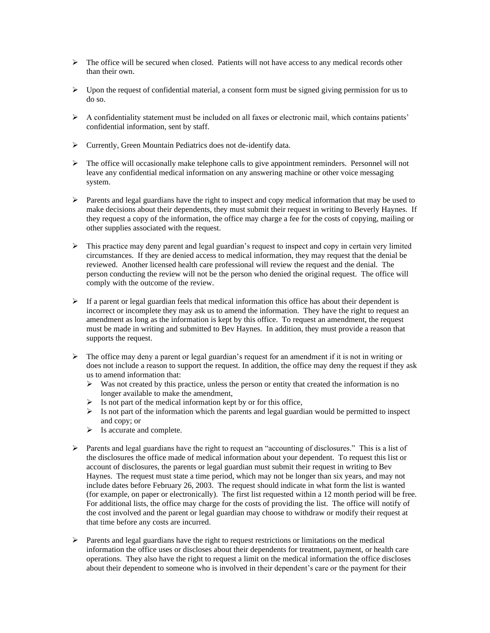- ➢ The office will be secured when closed. Patients will not have access to any medical records other than their own.
- $\triangleright$  Upon the request of confidential material, a consent form must be signed giving permission for us to do so.
- $\triangleright$  A confidentiality statement must be included on all faxes or electronic mail, which contains patients' confidential information, sent by staff.
- ➢ Currently, Green Mountain Pediatrics does not de-identify data.
- $\triangleright$  The office will occasionally make telephone calls to give appointment reminders. Personnel will not leave any confidential medical information on any answering machine or other voice messaging system.
- $\triangleright$  Parents and legal guardians have the right to inspect and copy medical information that may be used to make decisions about their dependents, they must submit their request in writing to Beverly Haynes. If they request a copy of the information, the office may charge a fee for the costs of copying, mailing or other supplies associated with the request.
- ➢ This practice may deny parent and legal guardian's request to inspect and copy in certain very limited circumstances. If they are denied access to medical information, they may request that the denial be reviewed. Another licensed health care professional will review the request and the denial. The person conducting the review will not be the person who denied the original request. The office will comply with the outcome of the review.
- $\triangleright$  If a parent or legal guardian feels that medical information this office has about their dependent is incorrect or incomplete they may ask us to amend the information. They have the right to request an amendment as long as the information is kept by this office. To request an amendment, the request must be made in writing and submitted to Bev Haynes. In addition, they must provide a reason that supports the request.
- $\triangleright$  The office may deny a parent or legal guardian's request for an amendment if it is not in writing or does not include a reason to support the request. In addition, the office may deny the request if they ask us to amend information that:
	- $\triangleright$  Was not created by this practice, unless the person or entity that created the information is no longer available to make the amendment,
	- $\triangleright$  Is not part of the medical information kept by or for this office,
	- $\triangleright$  Is not part of the information which the parents and legal guardian would be permitted to inspect and copy; or
	- ➢ Is accurate and complete.
- ➢ Parents and legal guardians have the right to request an "accounting of disclosures." This is a list of the disclosures the office made of medical information about your dependent. To request this list or account of disclosures, the parents or legal guardian must submit their request in writing to Bev Haynes. The request must state a time period, which may not be longer than six years, and may not include dates before February 26, 2003. The request should indicate in what form the list is wanted (for example, on paper or electronically). The first list requested within a 12 month period will be free. For additional lists, the office may charge for the costs of providing the list. The office will notify of the cost involved and the parent or legal guardian may choose to withdraw or modify their request at that time before any costs are incurred.
- $\triangleright$  Parents and legal guardians have the right to request restrictions or limitations on the medical information the office uses or discloses about their dependents for treatment, payment, or health care operations. They also have the right to request a limit on the medical information the office discloses about their dependent to someone who is involved in their dependent's care or the payment for their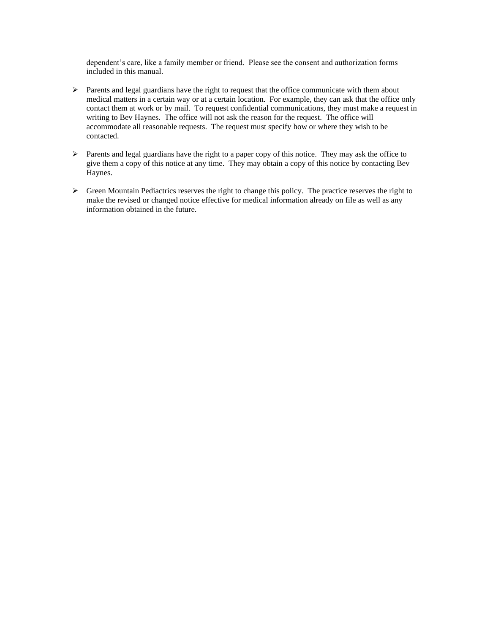dependent's care, like a family member or friend. Please see the consent and authorization forms included in this manual.

- ➢ Parents and legal guardians have the right to request that the office communicate with them about medical matters in a certain way or at a certain location. For example, they can ask that the office only contact them at work or by mail. To request confidential communications, they must make a request in writing to Bev Haynes. The office will not ask the reason for the request. The office will accommodate all reasonable requests. The request must specify how or where they wish to be contacted.
- ➢ Parents and legal guardians have the right to a paper copy of this notice. They may ask the office to give them a copy of this notice at any time. They may obtain a copy of this notice by contacting Bev Haynes.
- ➢ Green Mountain Pediactrics reserves the right to change this policy. The practice reserves the right to make the revised or changed notice effective for medical information already on file as well as any information obtained in the future.